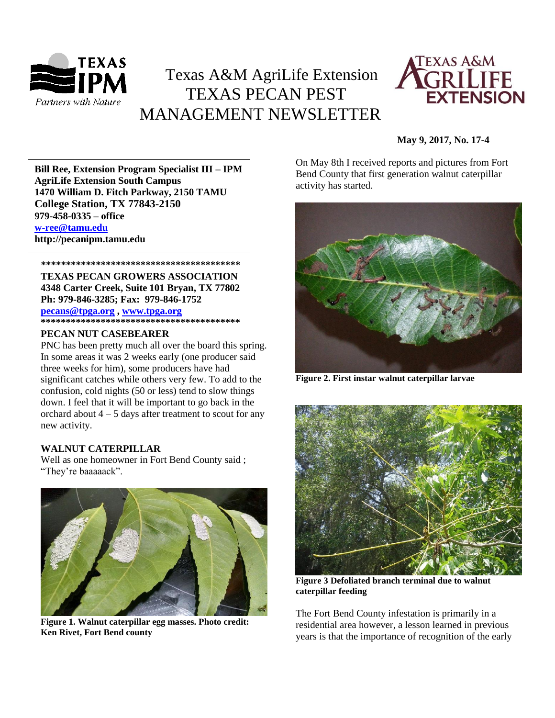

# Texas A&M AgriLife Extension TEXAS PECAN PEST MANAGEMENT NEWSLETTER



# **May 9, 2017, No. 17-4**

**AgriLife Extension South Campus**<br> **Agriculture In South Campus 1470 William D. Fitch Parkway, 2150 TAMU Bill Ree, Extension Program Specialist III – IPM College Station, TX 77843-2150 979-458-0335 – office [w-ree@tamu.edu](mailto:w-ree@tamu.edu) http://pecanipm.tamu.edu**

 **\*\*\*\*\*\*\*\*\*\*\*\*\*\*\*\*\*\*\*\*\*\*\*\*\*\*\*\*\*\*\*\*\*\*\*\*\*\*\*\* TEXAS PECAN GROWERS ASSOCIATION 4348 Carter Creek, Suite 101 Bryan, TX 77802 Ph: 979-846-3285; Fax: 979-846-1752 [pecans@tpga.org](mailto:pecans@tpga.org) [, www.tpga.org](http://www.tpga.org/) \*\*\*\*\*\*\*\*\*\*\*\*\*\*\*\*\*\*\*\*\*\*\*\*\*\*\*\*\*\*\*\*\*\*\*\*\*\*\*\***

### **PECAN NUT CASEBEARER**

PNC has been pretty much all over the board this spring. In some areas it was 2 weeks early (one producer said three weeks for him), some producers have had significant catches while others very few. To add to the confusion, cold nights (50 or less) tend to slow things down. I feel that it will be important to go back in the orchard about  $4 - 5$  days after treatment to scout for any new activity.

### **WALNUT CATERPILLAR**

Well as one homeowner in Fort Bend County said ; "They're baaaaack".



**Figure 1. Walnut caterpillar egg masses. Photo credit: Ken Rivet, Fort Bend county**

On May 8th I received reports and pictures from Fort Bend County that first generation walnut caterpillar activity has started.



**Figure 2. First instar walnut caterpillar larvae**



**Figure 3 Defoliated branch terminal due to walnut caterpillar feeding**

The Fort Bend County infestation is primarily in a residential area however, a lesson learned in previous years is that the importance of recognition of the early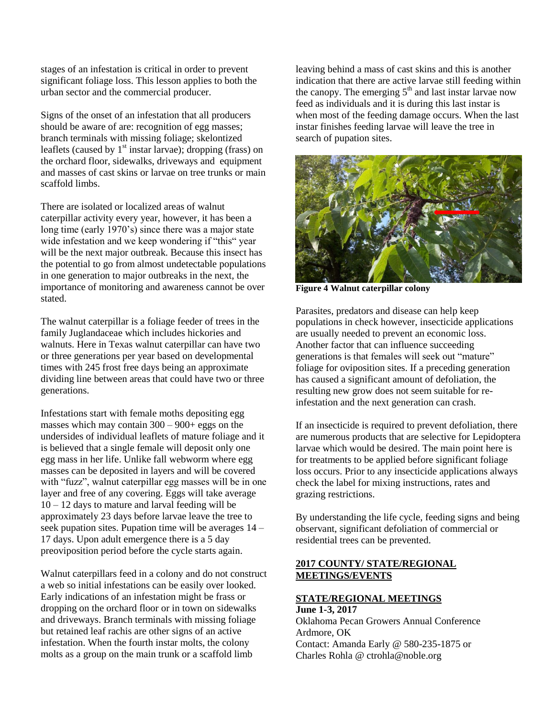stages of an infestation is critical in order to prevent significant foliage loss. This lesson applies to both the urban sector and the commercial producer.

Signs of the onset of an infestation that all producers should be aware of are: recognition of egg masses; branch terminals with missing foliage; skelontized leaflets (caused by  $1<sup>st</sup>$  instar larvae); dropping (frass) on the orchard floor, sidewalks, driveways and equipment and masses of cast skins or larvae on tree trunks or main scaffold limbs.

There are isolated or localized areas of walnut caterpillar activity every year, however, it has been a long time (early 1970's) since there was a major state wide infestation and we keep wondering if "this" year will be the next major outbreak. Because this insect has the potential to go from almost undetectable populations in one generation to major outbreaks in the next, the importance of monitoring and awareness cannot be over stated.

The walnut caterpillar is a foliage feeder of trees in the family Juglandaceae which includes hickories and walnuts. Here in Texas walnut caterpillar can have two or three generations per year based on developmental times with 245 frost free days being an approximate dividing line between areas that could have two or three generations.

Infestations start with female moths depositing egg masses which may contain 300 – 900+ eggs on the undersides of individual leaflets of mature foliage and it is believed that a single female will deposit only one egg mass in her life. Unlike fall webworm where egg masses can be deposited in layers and will be covered with "fuzz", walnut caterpillar egg masses will be in one layer and free of any covering. Eggs will take average  $10 - 12$  days to mature and larval feeding will be approximately 23 days before larvae leave the tree to seek pupation sites. Pupation time will be averages 14 – 17 days. Upon adult emergence there is a 5 day preoviposition period before the cycle starts again.

Walnut caterpillars feed in a colony and do not construct a web so initial infestations can be easily over looked. Early indications of an infestation might be frass or dropping on the orchard floor or in town on sidewalks and driveways. Branch terminals with missing foliage but retained leaf rachis are other signs of an active infestation. When the fourth instar molts, the colony molts as a group on the main trunk or a scaffold limb

leaving behind a mass of cast skins and this is another indication that there are active larvae still feeding within the canopy. The emerging  $5<sup>th</sup>$  and last instar larvae now feed as individuals and it is during this last instar is when most of the feeding damage occurs. When the last instar finishes feeding larvae will leave the tree in search of pupation sites.



**Figure 4 Walnut caterpillar colony**

Parasites, predators and disease can help keep populations in check however, insecticide applications are usually needed to prevent an economic loss. Another factor that can influence succeeding generations is that females will seek out "mature" foliage for oviposition sites. If a preceding generation has caused a significant amount of defoliation, the resulting new grow does not seem suitable for reinfestation and the next generation can crash.

If an insecticide is required to prevent defoliation, there are numerous products that are selective for Lepidoptera larvae which would be desired. The main point here is for treatments to be applied before significant foliage loss occurs. Prior to any insecticide applications always check the label for mixing instructions, rates and grazing restrictions.

By understanding the life cycle, feeding signs and being observant, significant defoliation of commercial or residential trees can be prevented.

# **2017 COUNTY/ STATE/REGIONAL MEETINGS/EVENTS**

## **STATE/REGIONAL MEETINGS June 1-3, 2017**

Oklahoma Pecan Growers Annual Conference Ardmore, OK Contact: Amanda Early @ 580-235-1875 or Charles Rohla @ ctrohla@noble.org